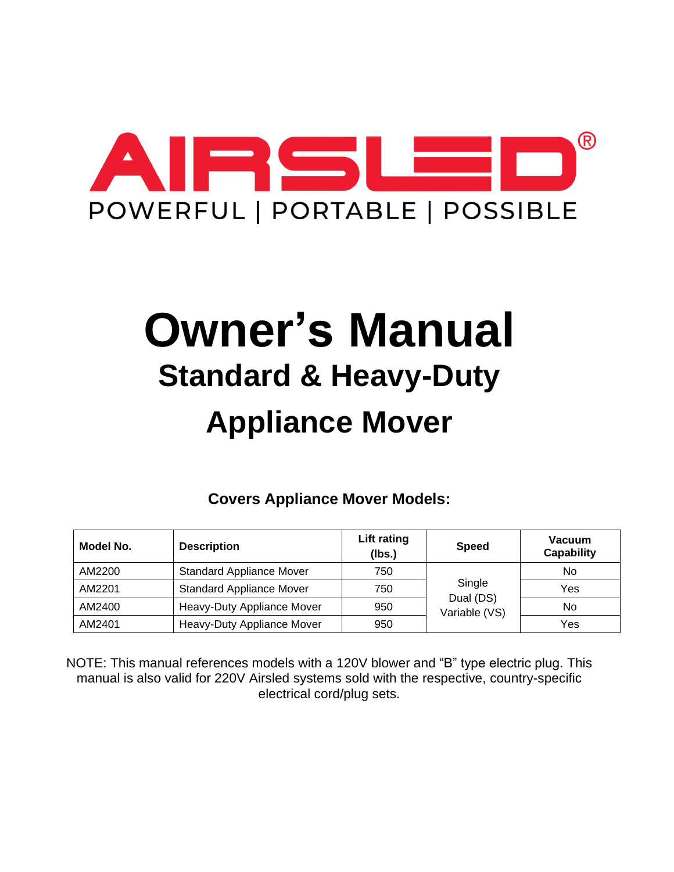

# **Owner's Manual Standard & Heavy-Duty Appliance Mover**

**Covers Appliance Mover Models:**

| Model No. | <b>Description</b>                               | Lift rating<br>(Ibs.) | <b>Speed</b>               | Vacuum<br><b>Capability</b> |
|-----------|--------------------------------------------------|-----------------------|----------------------------|-----------------------------|
| AM2200    | <b>Standard Appliance Mover</b>                  | 750                   |                            | No.                         |
| AM2201    | Single<br><b>Standard Appliance Mover</b><br>750 |                       |                            | Yes                         |
| AM2400    | Heavy-Duty Appliance Mover                       | 950                   | Dual (DS)<br>Variable (VS) | No.                         |
| AM2401    | Heavy-Duty Appliance Mover                       | 950                   |                            | Yes                         |

NOTE: This manual references models with a 120V blower and "B" type electric plug. This manual is also valid for 220V Airsled systems sold with the respective, country-specific electrical cord/plug sets.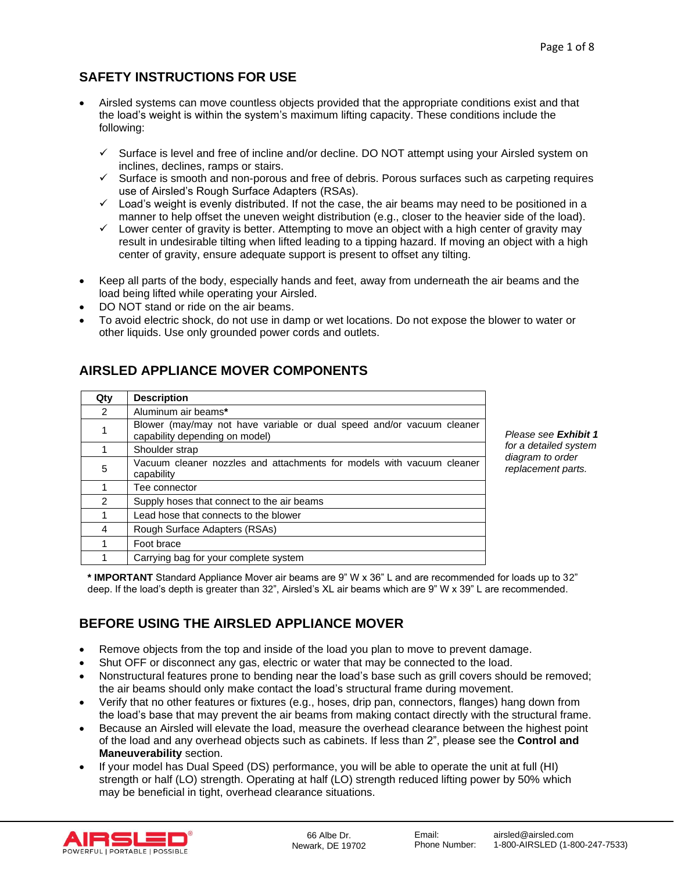# **SAFETY INSTRUCTIONS FOR USE**

- Airsled systems can move countless objects provided that the appropriate conditions exist and that the load's weight is within the system's maximum lifting capacity. These conditions include the following:
	- ✓ Surface is level and free of incline and/or decline. DO NOT attempt using your Airsled system on inclines, declines, ramps or stairs.
	- $\checkmark$  Surface is smooth and non-porous and free of debris. Porous surfaces such as carpeting requires use of Airsled's Rough Surface Adapters (RSAs).
	- ✓ Load's weight is evenly distributed. If not the case, the air beams may need to be positioned in a manner to help offset the uneven weight distribution (e.g., closer to the heavier side of the load).
	- $\checkmark$  Lower center of gravity is better. Attempting to move an object with a high center of gravity may result in undesirable tilting when lifted leading to a tipping hazard. If moving an object with a high center of gravity, ensure adequate support is present to offset any tilting.
- Keep all parts of the body, especially hands and feet, away from underneath the air beams and the load being lifted while operating your Airsled.
- DO NOT stand or ride on the air beams.
- To avoid electric shock, do not use in damp or wet locations. Do not expose the blower to water or other liquids. Use only grounded power cords and outlets.

# **AIRSLED APPLIANCE MOVER COMPONENTS**

| Qty           | <b>Description</b>                                                                                      |  |  |  |
|---------------|---------------------------------------------------------------------------------------------------------|--|--|--|
| $\mathcal{P}$ | Aluminum air beams*                                                                                     |  |  |  |
|               | Blower (may/may not have variable or dual speed and/or vacuum cleaner<br>capability depending on model) |  |  |  |
|               | Shoulder strap                                                                                          |  |  |  |
| 5             | Vacuum cleaner nozzles and attachments for models with vacuum cleaner<br>capability                     |  |  |  |
|               | Tee connector                                                                                           |  |  |  |
| $\mathcal{P}$ | Supply hoses that connect to the air beams                                                              |  |  |  |
|               | Lead hose that connects to the blower                                                                   |  |  |  |
| 4             | Rough Surface Adapters (RSAs)                                                                           |  |  |  |
|               | Foot brace                                                                                              |  |  |  |
|               | Carrying bag for your complete system                                                                   |  |  |  |

*Please see Exhibit 1 for a detailed system diagram to order replacement parts.*

**\* IMPORTANT** Standard Appliance Mover air beams are 9" W x 36" L and are recommended for loads up to 32" deep. If the load's depth is greater than 32", Airsled's XL air beams which are 9" W x 39" L are recommended.

# **BEFORE USING THE AIRSLED APPLIANCE MOVER**

- Remove objects from the top and inside of the load you plan to move to prevent damage.
- Shut OFF or disconnect any gas, electric or water that may be connected to the load.
- Nonstructural features prone to bending near the load's base such as grill covers should be removed; the air beams should only make contact the load's structural frame during movement.
- Verify that no other features or fixtures (e.g., hoses, drip pan, connectors, flanges) hang down from the load's base that may prevent the air beams from making contact directly with the structural frame.
- Because an Airsled will elevate the load, measure the overhead clearance between the highest point of the load and any overhead objects such as cabinets. If less than 2", please see the **Control and Maneuverability** section.
- If your model has Dual Speed (DS) performance, you will be able to operate the unit at full (HI) strength or half (LO) strength. Operating at half (LO) strength reduced lifting power by 50% which may be beneficial in tight, overhead clearance situations.

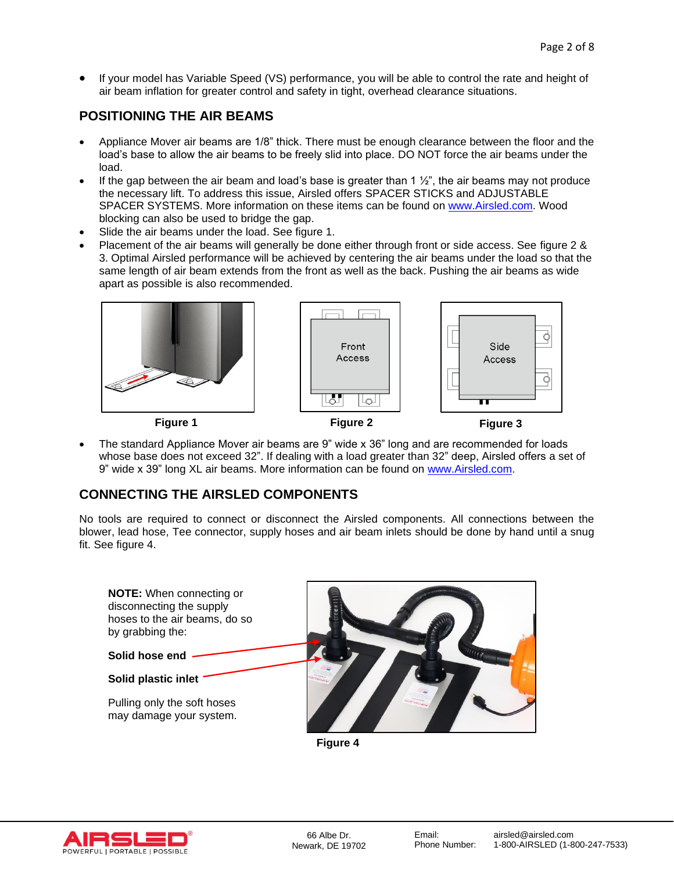• If your model has Variable Speed (VS) performance, you will be able to control the rate and height of air beam inflation for greater control and safety in tight, overhead clearance situations.

## **POSITIONING THE AIR BEAMS**

- Appliance Mover air beams are 1/8" thick. There must be enough clearance between the floor and the load's base to allow the air beams to be freely slid into place. DO NOT force the air beams under the load.
- If the gap between the air beam and load's base is greater than 1  $\frac{1}{2}$ ", the air beams may not produce the necessary lift. To address this issue, Airsled offers SPACER STICKS and ADJUSTABLE SPACER SYSTEMS. More information on these items can be found on [www.Airsled.com.](http://www.airsled.com/) Wood blocking can also be used to bridge the gap.
- Slide the air beams under the load. See figure 1.
- Placement of the air beams will generally be done either through front or side access. See figure 2 & 3. Optimal Airsled performance will be achieved by centering the air beams under the load so that the same length of air beam extends from the front as well as the back. Pushing the air beams as wide apart as possible is also recommended.



• The standard Appliance Mover air beams are 9" wide x 36" long and are recommended for loads whose base does not exceed 32". If dealing with a load greater than 32" deep, Airsled offers a set of 9" wide x 39" long XL air beams. More information can be found on [www.Airsled.com.](http://www.airsled.com/)

## **CONNECTING THE AIRSLED COMPONENTS**

No tools are required to connect or disconnect the Airsled components. All connections between the blower, lead hose, Tee connector, supply hoses and air beam inlets should be done by hand until a snug fit. See figure 4.



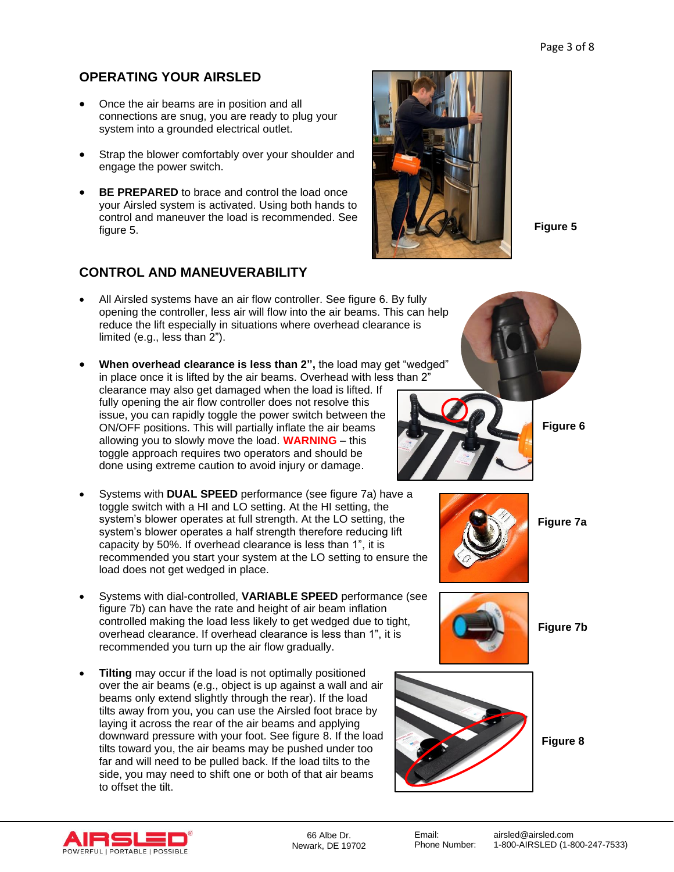# **OPERATING YOUR AIRSLED**

- Once the air beams are in position and all connections are snug, you are ready to plug your system into a grounded electrical outlet.
- Strap the blower comfortably over your shoulder and engage the power switch.
- **BE PREPARED** to brace and control the load once your Airsled system is activated. Using both hands to control and maneuver the load is recommended. See figure 5.

# **CONTROL AND MANEUVERABILITY**

- All Airsled systems have an air flow controller. See figure 6. By fully opening the controller, less air will flow into the air beams. This can help reduce the lift especially in situations where overhead clearance is limited (e.g., less than 2").
- **When overhead clearance is less than 2",** the load may get "wedged" in place once it is lifted by the air beams. Overhead with less than 2" clearance may also get damaged when the load is lifted. If fully opening the air flow controller does not resolve this issue, you can rapidly toggle the power switch between the ON/OFF positions. This will partially inflate the air beams allowing you to slowly move the load. **WARNING** – this toggle approach requires two operators and should be done using extreme caution to avoid injury or damage.
- Systems with **DUAL SPEED** performance (see figure 7a) have a toggle switch with a HI and LO setting. At the HI setting, the system's blower operates at full strength. At the LO setting, the system's blower operates a half strength therefore reducing lift capacity by 50%. If overhead clearance is less than 1", it is recommended you start your system at the LO setting to ensure the load does not get wedged in place.
- Systems with dial-controlled, **VARIABLE SPEED** performance (see figure 7b) can have the rate and height of air beam inflation controlled making the load less likely to get wedged due to tight, overhead clearance. If overhead clearance is less than 1", it is recommended you turn up the air flow gradually.
- **Tilting** may occur if the load is not optimally positioned over the air beams (e.g., object is up against a wall and air beams only extend slightly through the rear). If the load tilts away from you, you can use the Airsled foot brace by laying it across the rear of the air beams and applying downward pressure with your foot. See figure 8. If the load tilts toward you, the air beams may be pushed under too far and will need to be pulled back. If the load tilts to the side, you may need to shift one or both of that air beams to offset the tilt.



**Figure 5**



**Figure 6**

**Figure 7a**



**Figure 7b**



**Figure 8**

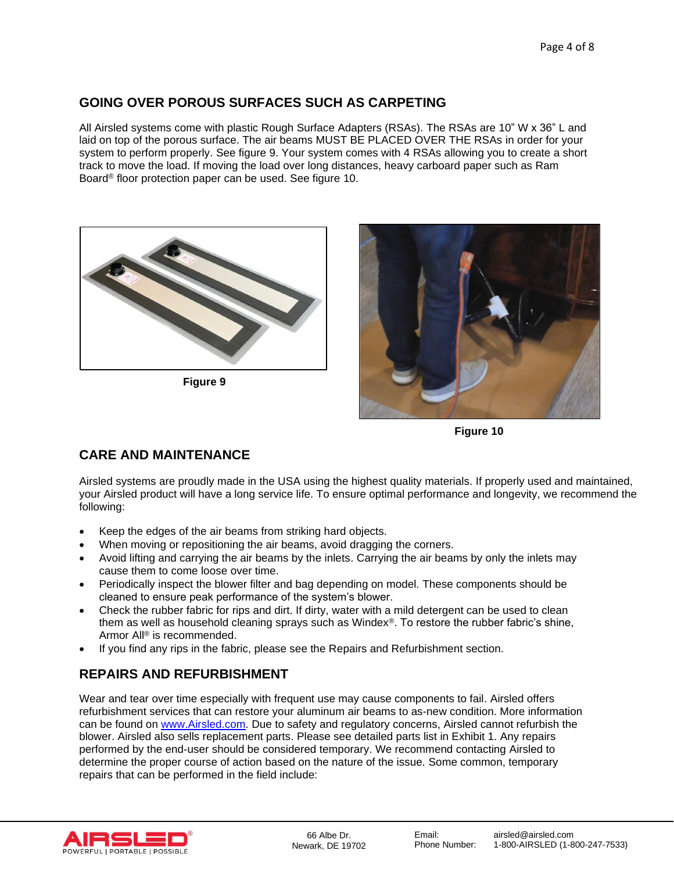# **GOING OVER POROUS SURFACES SUCH AS CARPETING**

All Airsled systems come with plastic Rough Surface Adapters (RSAs). The RSAs are 10" W x 36" L and laid on top of the porous surface. The air beams MUST BE PLACED OVER THE RSAs in order for your system to perform properly. See figure 9. Your system comes with 4 RSAs allowing you to create a short track to move the load. If moving the load over long distances, heavy carboard paper such as Ram Board® floor protection paper can be used. See figure 10.



**Figure 9**



**Figure 10**

# **CARE AND MAINTENANCE**

Airsled systems are proudly made in the USA using the highest quality materials. If properly used and maintained, your Airsled product will have a long service life. To ensure optimal performance and longevity, we recommend the following:

- Keep the edges of the air beams from striking hard objects.
- When moving or repositioning the air beams, avoid dragging the corners.
- Avoid lifting and carrying the air beams by the inlets. Carrying the air beams by only the inlets may cause them to come loose over time.
- Periodically inspect the blower filter and bag depending on model. These components should be cleaned to ensure peak performance of the system's blower.
- Check the rubber fabric for rips and dirt. If dirty, water with a mild detergent can be used to clean them as well as household cleaning sprays such as Windex®. To restore the rubber fabric's shine, Armor All® is recommended.
- If you find any rips in the fabric, please see the Repairs and Refurbishment section.

# **REPAIRS AND REFURBISHMENT**

Wear and tear over time especially with frequent use may cause components to fail. Airsled offers refurbishment services that can restore your aluminum air beams to as-new condition. More information can be found on [www.Airsled.com.](http://www.airsled.com/) Due to safety and regulatory concerns, Airsled cannot refurbish the blower. Airsled also sells replacement parts. Please see detailed parts list in Exhibit 1. Any repairs performed by the end-user should be considered temporary. We recommend contacting Airsled to determine the proper course of action based on the nature of the issue. Some common, temporary repairs that can be performed in the field include:

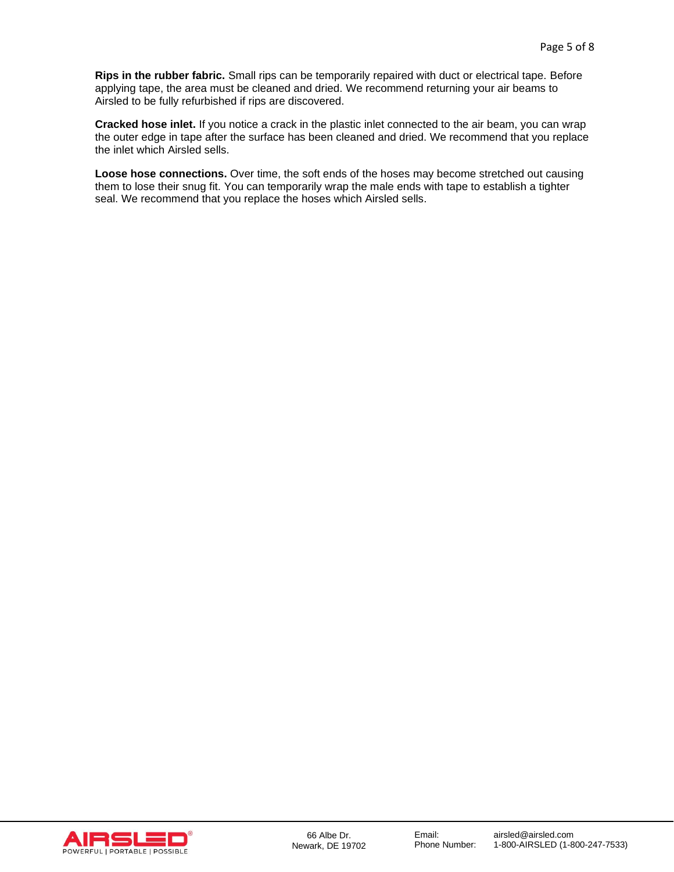**Rips in the rubber fabric.** Small rips can be temporarily repaired with duct or electrical tape. Before applying tape, the area must be cleaned and dried. We recommend returning your air beams to Airsled to be fully refurbished if rips are discovered.

**Cracked hose inlet.** If you notice a crack in the plastic inlet connected to the air beam, you can wrap the outer edge in tape after the surface has been cleaned and dried. We recommend that you replace the inlet which Airsled sells.

**Loose hose connections.** Over time, the soft ends of the hoses may become stretched out causing them to lose their snug fit. You can temporarily wrap the male ends with tape to establish a tighter seal. We recommend that you replace the hoses which Airsled sells.

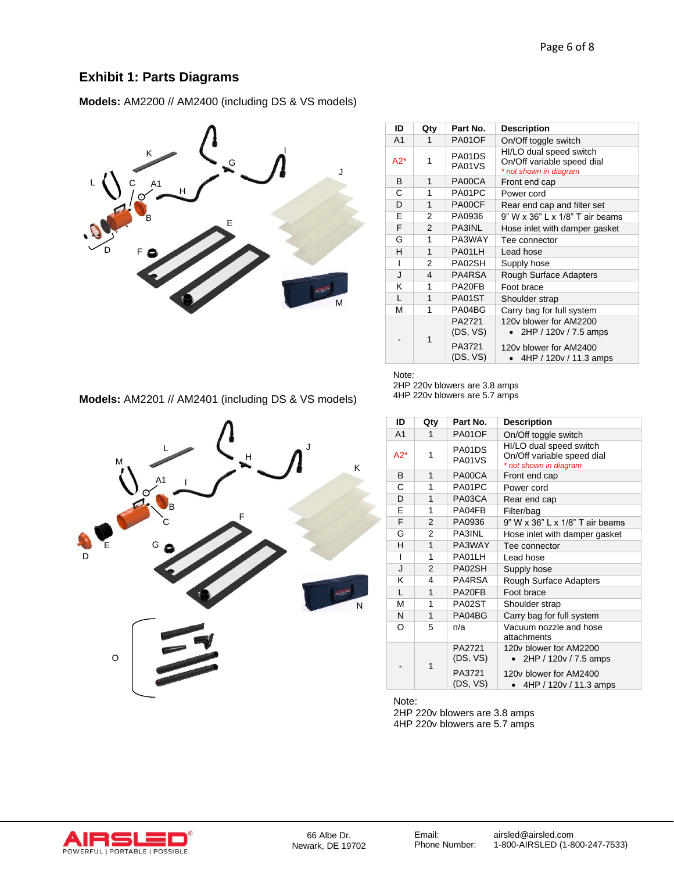# **Exhibit 1: Parts Diagrams**

**Models:** AM2200 // AM2400 (including DS & VS models)



| ID             | Qty           | Part No.                                 | <b>Description</b>                                                                                  |  |
|----------------|---------------|------------------------------------------|-----------------------------------------------------------------------------------------------------|--|
| A <sub>1</sub> | 1             | PA01OF                                   | On/Off toggle switch                                                                                |  |
| A2*            | 1             | PA01DS<br>PA01VS                         | HI/LO dual speed switch<br>On/Off variable speed dial<br>* not shown in diagram                     |  |
| B              | 1             | PA00CA                                   | Front end cap                                                                                       |  |
| C              | 1             | PA01PC                                   | Power cord                                                                                          |  |
| D              | 1             | PA00CF                                   | Rear end cap and filter set                                                                         |  |
| F              | 2             | PA0936                                   | 9" W x 36" L x 1/8" T air beams                                                                     |  |
| F              | $\mathcal{P}$ | PA3INL                                   | Hose inlet with damper gasket                                                                       |  |
| G              | 1             | PA3WAY                                   | Tee connector                                                                                       |  |
| н              | 1             | PA01LH                                   | Lead hose                                                                                           |  |
| ı              | 2             | PA02SH                                   | Supply hose                                                                                         |  |
| <b>.</b>       | 4             | PA4RSA                                   | <b>Rough Surface Adapters</b>                                                                       |  |
| κ              | 1             | PA20FB                                   | Foot brace                                                                                          |  |
| L              | 1             | PA01ST                                   | Shoulder strap                                                                                      |  |
| М              | 1             | PA04BG                                   | Carry bag for full system                                                                           |  |
|                | 1             | PA2721<br>(DS, VS)<br>PA3721<br>(DS, VS) | 120y blower for AM2200<br>2HP / 120v / 7.5 amps<br>120y blower for AM2400<br>4HP / 120v / 11.3 amps |  |

**Models:** AM2201 // AM2401 (including DS & VS models)



**ID Qty Part No. Description** A1 1 PA01OF On/Off toggle switch  $A2^*$  1 PA01DS PA01VS HI/LO dual speed switch On/Off variable speed dial *\* not shown in diagram* B | 1 | PA00CA | Front end cap C | 1 | PA01PC | Power cord D | 1 | PA03CA | Rear end cap E 1 PA04FB Filter/bag<br>F 2 PA0936 9" W x 36 PA0936 9" W x 36" L x 1/8" T air beams<br>2 PA3INL Hose inlet with damper gasket G 2 PA3INL Hose inlet with damper gasket<br>H 1 PA3WAY Tee connector 1 PA3WAY Tee connector<br>1 PA01LH Lead hose I | 1 | PA01LH | Lead hose J 2 PA02SH Supply hose K | 4 | PA4RSA | Rough Surface Adapters L | 1 | PA20FB | Foot brace M 1 | PA02ST | Shoulder strap N | 1 | PA04BG | Carry bag for full system O 5 n/a Vacuum nozzle and hose attachments - 1 PA2721 (DS, VS) PA3721 (DS, VS) 120v blower for AM2200 • 2HP / 120v / 7.5 amps 120v blower for AM2400 • 4HP / 120v / 11.3 amps Note:

2HP 220v blowers are 3.8 amps 4HP 220v blowers are 5.7 amps

Note:

2HP 220v blowers are 3.8 amps 4HP 220v blowers are 5.7 amps

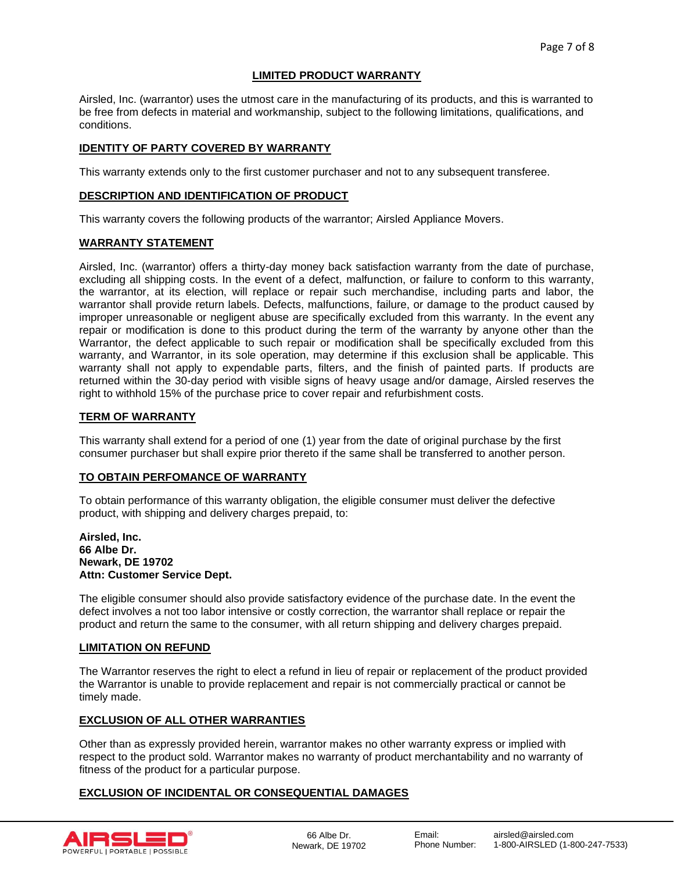## **LIMITED PRODUCT WARRANTY**

Airsled, Inc. (warrantor) uses the utmost care in the manufacturing of its products, and this is warranted to be free from defects in material and workmanship, subject to the following limitations, qualifications, and conditions.

## **IDENTITY OF PARTY COVERED BY WARRANTY**

This warranty extends only to the first customer purchaser and not to any subsequent transferee.

## **DESCRIPTION AND IDENTIFICATION OF PRODUCT**

This warranty covers the following products of the warrantor; Airsled Appliance Movers.

#### **WARRANTY STATEMENT**

Airsled, Inc. (warrantor) offers a thirty-day money back satisfaction warranty from the date of purchase, excluding all shipping costs. In the event of a defect, malfunction, or failure to conform to this warranty, the warrantor, at its election, will replace or repair such merchandise, including parts and labor, the warrantor shall provide return labels. Defects, malfunctions, failure, or damage to the product caused by improper unreasonable or negligent abuse are specifically excluded from this warranty. In the event any repair or modification is done to this product during the term of the warranty by anyone other than the Warrantor, the defect applicable to such repair or modification shall be specifically excluded from this warranty, and Warrantor, in its sole operation, may determine if this exclusion shall be applicable. This warranty shall not apply to expendable parts, filters, and the finish of painted parts. If products are returned within the 30-day period with visible signs of heavy usage and/or damage, Airsled reserves the right to withhold 15% of the purchase price to cover repair and refurbishment costs.

#### **TERM OF WARRANTY**

This warranty shall extend for a period of one (1) year from the date of original purchase by the first consumer purchaser but shall expire prior thereto if the same shall be transferred to another person.

#### **TO OBTAIN PERFOMANCE OF WARRANTY**

To obtain performance of this warranty obligation, the eligible consumer must deliver the defective product, with shipping and delivery charges prepaid, to:

#### **Airsled, Inc. 66 Albe Dr. Newark, DE 19702 Attn: Customer Service Dept.**

The eligible consumer should also provide satisfactory evidence of the purchase date. In the event the defect involves a not too labor intensive or costly correction, the warrantor shall replace or repair the product and return the same to the consumer, with all return shipping and delivery charges prepaid.

#### **LIMITATION ON REFUND**

The Warrantor reserves the right to elect a refund in lieu of repair or replacement of the product provided the Warrantor is unable to provide replacement and repair is not commercially practical or cannot be timely made.

## **EXCLUSION OF ALL OTHER WARRANTIES**

Other than as expressly provided herein, warrantor makes no other warranty express or implied with respect to the product sold. Warrantor makes no warranty of product merchantability and no warranty of fitness of the product for a particular purpose.

## **EXCLUSION OF INCIDENTAL OR CONSEQUENTIAL DAMAGES**